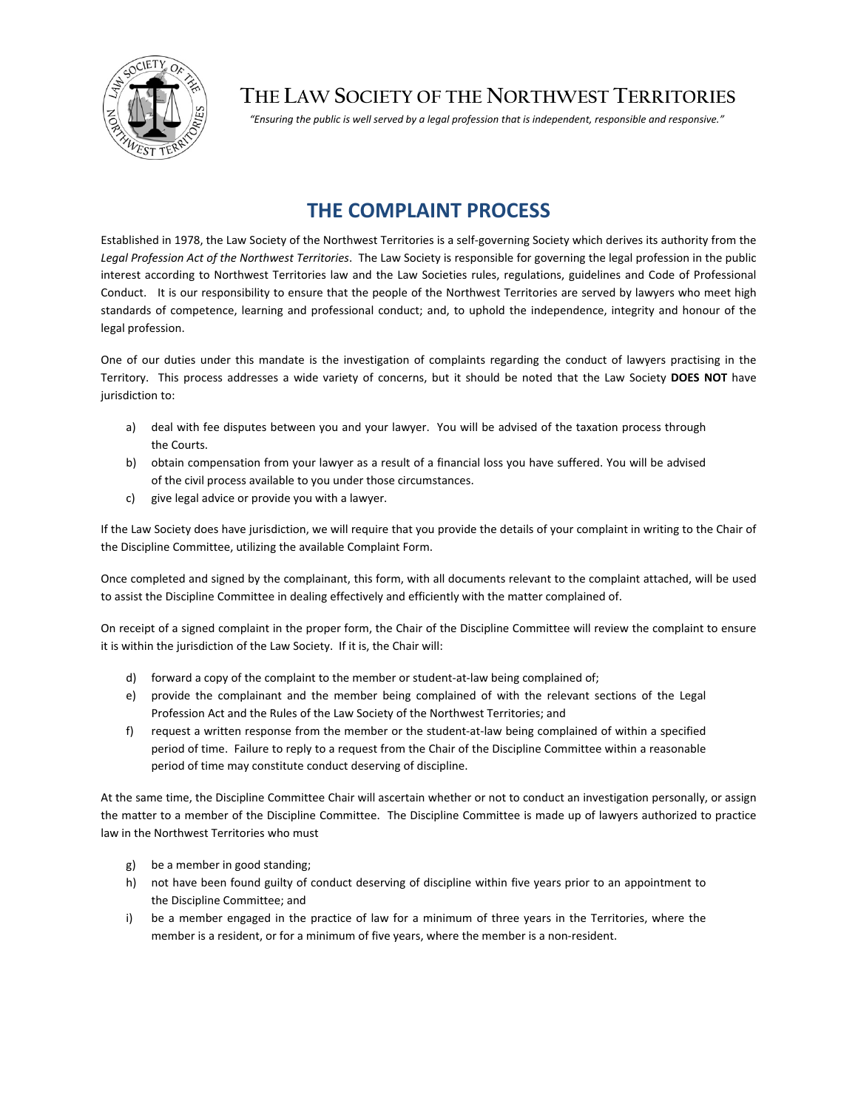

## **THE LAW SOCIETY OF THE NORTHWEST TERRITORIES**

*"Ensuring the public is well served by a legal profession that is independent, responsible and responsive."*

## **THE COMPLAINT PROCESS**

Established in 1978, the Law Society of the Northwest Territories is a self‐governing Society which derives its authority from the *Legal Profession Act of the Northwest Territories*. The Law Society is responsible for governing the legal profession in the public interest according to Northwest Territories law and the Law Societies rules, regulations, guidelines and Code of Professional Conduct. It is our responsibility to ensure that the people of the Northwest Territories are served by lawyers who meet high standards of competence, learning and professional conduct; and, to uphold the independence, integrity and honour of the legal profession.

One of our duties under this mandate is the investigation of complaints regarding the conduct of lawyers practising in the Territory. This process addresses a wide variety of concerns, but it should be noted that the Law Society **DOES NOT** have jurisdiction to:

- a) deal with fee disputes between you and your lawyer. You will be advised of the taxation process through the Courts.
- b) obtain compensation from your lawyer as a result of a financial loss you have suffered. You will be advised of the civil process available to you under those circumstances.
- c) give legal advice or provide you with a lawyer.

If the Law Society does have jurisdiction, we will require that you provide the details of your complaint in writing to the Chair of the Discipline Committee, utilizing the available Complaint Form.

Once completed and signed by the complainant, this form, with all documents relevant to the complaint attached, will be used to assist the Discipline Committee in dealing effectively and efficiently with the matter complained of.

On receipt of a signed complaint in the proper form, the Chair of the Discipline Committee will review the complaint to ensure it is within the jurisdiction of the Law Society. If it is, the Chair will:

- d) forward a copy of the complaint to the member or student-at-law being complained of;
- e) provide the complainant and the member being complained of with the relevant sections of the Legal Profession Act and the Rules of the Law Society of the Northwest Territories; and
- f) request a written response from the member or the student-at-law being complained of within a specified period of time. Failure to reply to a request from the Chair of the Discipline Committee within a reasonable period of time may constitute conduct deserving of discipline.

At the same time, the Discipline Committee Chair will ascertain whether or not to conduct an investigation personally, or assign the matter to a member of the Discipline Committee. The Discipline Committee is made up of lawyers authorized to practice law in the Northwest Territories who must

- g) be a member in good standing;
- h) not have been found guilty of conduct deserving of discipline within five years prior to an appointment to the Discipline Committee; and
- i) be a member engaged in the practice of law for a minimum of three years in the Territories, where the member is a resident, or for a minimum of five years, where the member is a non-resident.